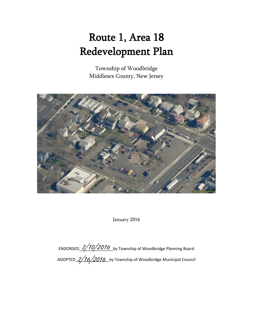# Route 1, Area 18 Redevelopment Plan

Township of Woodbridge Middlesex County, New Jersey



January 2016

ENDORSED\_2/10/2016\_by Township of Woodbridge Planning Board ADOPTED\_2/16/2016\_by Township of Woodbridge Municipal Council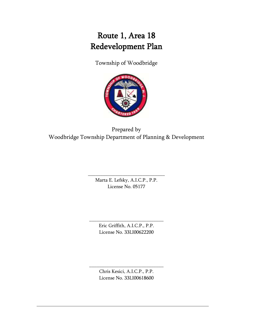# Route 1, Area 18 Redevelopment Plan

Township of Woodbridge



Prepared by Woodbridge Township Department of Planning & Development

> Marta E. Lefsky, A.I.C.P., P.P. License No. 05177

\_\_\_\_\_\_\_\_\_\_\_\_\_\_\_\_\_\_\_\_\_\_\_\_\_\_\_\_\_\_\_

Eric Griffith, A.I.C.P., P.P. License No. 33LI00622200

\_\_\_\_\_\_\_\_\_\_\_\_\_\_\_\_\_\_\_\_\_\_\_\_\_\_\_\_\_\_

Chris Kesici, A.I.C.P., P.P. License No. 33LI00618600

\_\_\_\_\_\_\_\_\_\_\_\_\_\_\_\_\_\_\_\_\_\_\_\_\_\_\_\_\_\_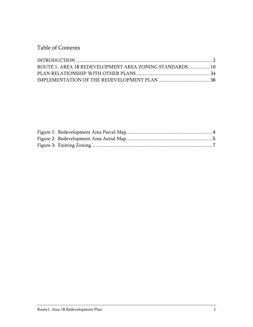Table of Contents

| ROUTE 1, AREA 18 REDEVELOPMENT AREA ZONING STANDARDS 10 |  |
|---------------------------------------------------------|--|
|                                                         |  |
|                                                         |  |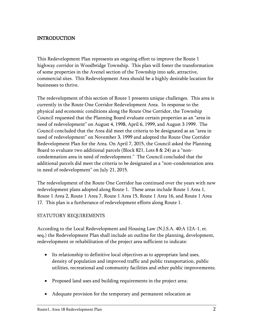# <span id="page-3-0"></span>INTRODUCTION

This Redevelopment Plan represents an ongoing effort to improve the Route 1 highway corridor in Woodbridge Township. This plan will foster the transformation of some properties in the Avenel section of the Township into safe, attractive, commercial sites. This Redevelopment Area should be a highly desirable location for businesses to thrive.

The redevelopment of this section of Route 1 presents unique challenges. This area is currently in the Route One Corridor Redevelopment Area. In response to the physical and economic conditions along the Route One Corridor, the Township Council requested that the Planning Board evaluate certain properties as an "area in need of redevelopment" on August 4, 1998, April 6, 1999, and August 3 1999. The Council concluded that the Area did meet the criteria to be designated as an "area in need of redevelopment" on November 3, 1999 and adopted the Route One Corridor Redevelopment Plan for the Area. On April 7, 2015, the Council asked the Planning Board to evaluate two additional parcels (Block 821, Lots 8 & 24) as a "noncondemnation area in need of redevelopment." The Council concluded that the additional parcels did meet the criteria to be designated as a "non-condemnation area in need of redevelopment" on July 21, 2015.

The redevelopment of the Route One Corridor has continued over the years with new redevelopment plans adopted along Route 1. These areas include Route 1 Area 1, Route 1 Area 2, Route 1 Area 7, Route 1 Area 15, Route 1 Area 16, and Route 1 Area 17. This plan is a furtherance of redevelopment efforts along Route 1.

#### STATUTORY REQUIREMENTS

According to the Local Redevelopment and Housing Law (N.J.S.A. 40:A 12A-1, et. seq.) the Redevelopment Plan shall include an outline for the planning, development, redevelopment or rehabilitation of the project area sufficient to indicate:

- Its relationship to definitive local objectives as to appropriate land uses, density of population and improved traffic and public transportation, public utilities, recreational and community facilities and other public improvements;
- Proposed land uses and building requirements in the project area;
- Adequate provision for the temporary and permanent relocation as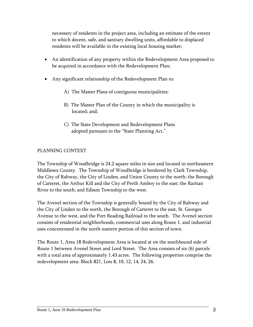necessary of residents in the project area, including an estimate of the extent to which decent, safe, and sanitary dwelling units, affordable to displaced residents will be available in the existing local housing market;

- An identification of any property within the Redevelopment Area proposed to be acquired in accordance with the Redevelopment Plan;
- Any significant relationship of the Redevelopment Plan to:
	- A) The Master Plans of contiguous municipalities;
	- B) The Master Plan of the County in which the municipality is located; and;
	- C) The State Development and Redevelopment Plans adopted pursuant to the "State Planning Act."

#### PLANNING CONTEXT

The Township of Woodbridge is 24.2 square miles in size and located in northeastern Middlesex County. The Township of Woodbridge is bordered by Clark Township, the City of Rahway, the City of Linden, and Union County to the north; the Borough of Carteret, the Arthur Kill and the City of Perth Amboy to the east; the Raritan River to the south; and Edison Township to the west.

The Avenel section of the Township is generally bound by the City of Rahway and the City of Linden to the north, the Borough of Carteret to the east, St. Georges Avenue to the west, and the Port Reading Railroad to the south. The Avenel section consists of residential neighborhoods, commercial uses along Route 1, and industrial uses concentrated in the north-eastern portion of this section of town.

The Route 1, Area 18 Redevelopment Area is located at on the southbound side of Route 1 between Avenel Street and Lord Street. The Area consists of six (6) parcels with a total area of approximately 1.43 acres. The following properties comprise the redevelopment area: Block 821, Lots 8, 10, 12, 14, 24, 26.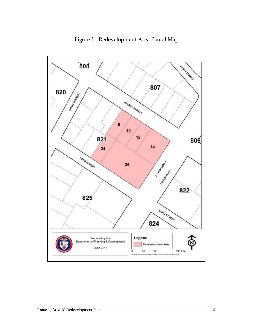<span id="page-5-0"></span>

Figure 1: Redevelopment Area Parcel Map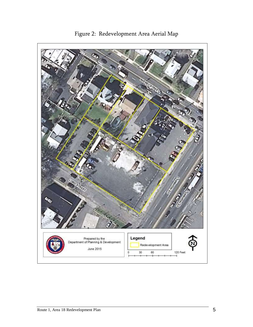<span id="page-6-0"></span>

Figure 2: Redevelopment Area Aerial Map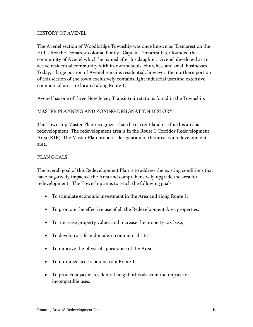#### HISTORY OF AVENEL

The Avenel section of Woodbridge Township was once known as "Demarest on the Hill" after the Demarest colonial family. Captain Demarest later founded the community of Avenel which he named after his daughter. Avenel developed as an active residential community with its own schools, churches, and small businesses. Today, a large portion of Avenel remains residential, however, the northern portion of this section of the town exclusively contains light industrial uses and extensive commercial uses are located along Route 1.

Avenel has one of three New Jersey Transit train stations found in the Township.

#### MASTER PLANNING AND ZONING DESIGNATION HISTORY

The Township Master Plan recognizes that the current land use for this area is redevelopment. The redevelopment area is in the Route 1 Corridor Redevelopment Area (R1R). The Master Plan proposes designation of this area as a redevelopment area.

#### PLAN GOALS

The overall goal of this Redevelopment Plan is to address the existing conditions that have negatively impacted the Area and comprehensively upgrade the area for redevelopment. The Township aims to reach the following goals:

- To stimulate economic investment in the Area and along Route 1;
- To promote the effective use of all the Redevelopment Area properties.
- To increase property values and increase the property tax base;
- To develop a safe and modern commercial sites;
- To improve the physical appearance of the Area.
- To minimize access points from Route 1.
- <span id="page-7-0"></span> To protect adjacent residential neighborhoods from the impacts of incompatible uses.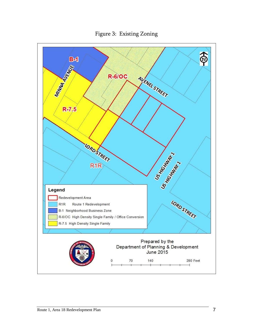

Figure 3: Existing Zoning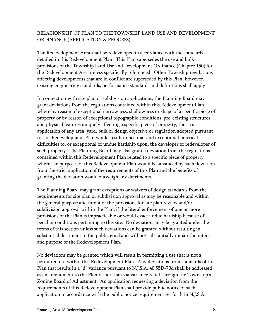# RELATIONSHIP OF PLAN TO THE TOWNSHIP LAND USE AND DEVELOPMENT ORDINANCE (APPLICATION & PROCESS)

The Redevelopment Area shall be redeveloped in accordance with the standards detailed in this Redevelopment Plan. This Plan supersedes the use and bulk provisions of the Township Land Use and Development Ordinance (Chapter 150) for the Redevelopment Area unless specifically referenced. Other Township regulations affecting developments that are in conflict are superseded by this Plan; however, existing engineering standards, performance standards and definitions shall apply.

In connection with site plan or subdivision applications, the Planning Board may grant deviations from the regulations contained within this Redevelopment Plan where by reason of exceptional narrowness, shallowness or shape of a specific piece of property or by reason of exceptional topographic conditions, pre-existing structures and physical features uniquely affecting a specific piece of property, the strict application of any area, yard, bulk or design objective or regulation adopted pursuant to this Redevelopment Plan would result in peculiar and exceptional practical difficulties to, or exceptional or undue hardship upon, the developer or redeveloper of such property. The Planning Board may also grant a deviation from the regulations contained within this Redevelopment Plan related to a specific piece of property where the purposes of this Redevelopment Plan would be advanced by such deviation from the strict application of the requirements of this Plan and the benefits of granting the deviation would outweigh any detriments.

The Planning Board may grant exceptions or waivers of design standards from the requirements for site plan or subdivision approval as may be reasonable and within the general purpose and intent of the provisions for site plan review and/or subdivision approval within the Plan, if the literal enforcement of one or more provisions of the Plan is impracticable or would exact undue hardship because of peculiar conditions pertaining to this site. No deviations may be granted under the terms of this section unless such deviations can be granted without resulting in substantial detriment to the public good and will not substantially impair the intent and purpose of the Redevelopment Plan.

No deviations may be granted which will result in permitting a use that is not a permitted use within this Redevelopment Plan. Any deviations from standards of this Plan that results in a "d" variance pursuant to N.J.S.A. 40:55D-70d shall be addressed as an amendment to the Plan rather than via variance relief through the Township's Zoning Board of Adjustment. An application requesting a deviation from the requirements of this Redevelopment Plan shall provide public notice of such application in accordance with the public notice requirement set forth in N.J.S.A.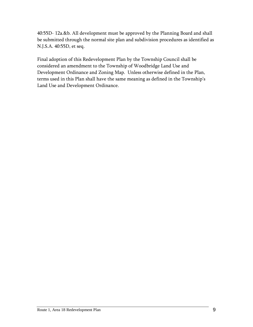40:55D- 12a.&b. All development must be approved by the Planning Board and shall be submitted through the normal site plan and subdivision procedures as identified as N.J.S.A. 40:55D, et seq.

Final adoption of this Redevelopment Plan by the Township Council shall be considered an amendment to the Township of Woodbridge Land Use and Development Ordinance and Zoning Map. Unless otherwise defined in the Plan, terms used in this Plan shall have the same meaning as defined in the Township's Land Use and Development Ordinance.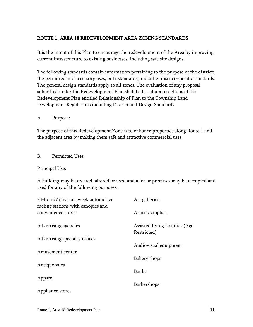# <span id="page-11-0"></span>ROUTE 1, AREA 18 REDEVELOPMENT AREA ZONING STANDARDS

It is the intent of this Plan to encourage the redevelopment of the Area by improving current infrastructure to existing businesses, including safe site designs.

The following standards contain information pertaining to the purpose of the district; the permitted and accessory uses; bulk standards; and other district-specific standards. The general design standards apply to all zones. The evaluation of any proposal submitted under the Redevelopment Plan shall be based upon sections of this Redevelopment Plan entitled Relationship of Plan to the Township Land Development Regulations including District and Design Standards.

A. Purpose:

The purpose of this Redevelopment Zone is to enhance properties along Route 1 and the adjacent area by making them safe and attractive commercial uses.

B. Permitted Uses:

Principal Use:

A building may be erected, altered or used and a lot or premises may be occupied and used for any of the following purposes:

| 24-hour/7 days per week automotive<br>fueling stations with canopies and | Art galleries                                  |
|--------------------------------------------------------------------------|------------------------------------------------|
| convenience stores                                                       | Artist's supplies                              |
| Advertising agencies                                                     | Assisted living facilities (Age<br>Restricted) |
| Advertising specialty offices                                            |                                                |
|                                                                          | Audiovisual equipment                          |
| Amusement center                                                         |                                                |
| Antique sales                                                            | Bakery shops                                   |
|                                                                          | Banks                                          |
| Apparel                                                                  |                                                |
|                                                                          | <b>Barbershops</b>                             |
| Appliance stores                                                         |                                                |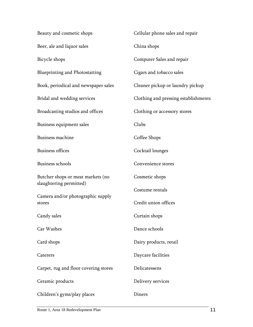| Beauty and cosmetic shops                                    | Cellular phone sales and repair      |
|--------------------------------------------------------------|--------------------------------------|
| Beer, ale and liquor sales                                   | China shops                          |
| Bicycle shops                                                | Computer Sales and repair            |
| <b>Blueprinting and Photostatting</b>                        | Cigars and tobacco sales             |
| Book, periodical and newspaper sales                         | Cleaner pickup or laundry pickup     |
| Bridal and wedding services                                  | Clothing and pressing establishments |
| Broadcasting studios and offices                             | Clothing or accessory stores         |
| Business equipment sales                                     | Clubs                                |
| Business machine                                             | Coffee Shops                         |
| <b>Business offices</b>                                      | Cocktail lounges                     |
| <b>Business schools</b>                                      | Convenience stores                   |
| Butcher shops or meat markets (no<br>slaughtering permitted) | Cosmetic shops                       |
| Camera and/or photographic supply                            | Costume rentals                      |
| stores                                                       | Credit union offices                 |
| Candy sales                                                  | Curtain shops                        |
| Car Washes                                                   | Dance schools                        |
| Card shops                                                   | Dairy products, retail               |
| Caterers                                                     | Daycare facilities                   |
| Carpet, rug and floor covering stores                        | Delicatessens                        |
| Ceramic products                                             | Delivery services                    |
| Children's gyms/play places                                  | Diners                               |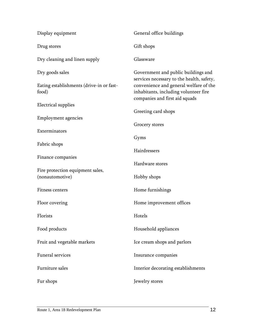| Display equipment                                   | General office buildings                                                                                          |
|-----------------------------------------------------|-------------------------------------------------------------------------------------------------------------------|
| Drug stores                                         | Gift shops                                                                                                        |
| Dry cleaning and linen supply                       | Glassware                                                                                                         |
| Dry goods sales                                     | Government and public buildings and<br>services necessary to the health, safety,                                  |
| Eating establishments (drive-in or fast-<br>food)   | convenience and general welfare of the<br>inhabitants, including volunteer fire<br>companies and first aid squads |
| <b>Electrical</b> supplies                          | Greeting card shops                                                                                               |
| <b>Employment agencies</b>                          |                                                                                                                   |
|                                                     | Grocery stores                                                                                                    |
| Exterminators                                       | Gyms                                                                                                              |
| Fabric shops                                        |                                                                                                                   |
| Finance companies                                   | Hairdressers                                                                                                      |
|                                                     | Hardware stores                                                                                                   |
| Fire protection equipment sales,<br>(nonautomotive) | Hobby shops                                                                                                       |
|                                                     |                                                                                                                   |
| Fitness centers                                     | Home furnishings                                                                                                  |
| Floor covering                                      | Home improvement offices                                                                                          |
| Florists                                            | Hotels                                                                                                            |
| Food products                                       | Household appliances                                                                                              |
| Fruit and vegetable markets                         | Ice cream shops and parlors                                                                                       |
| <b>Funeral services</b>                             | Insurance companies                                                                                               |
| Furniture sales                                     | Interior decorating establishments                                                                                |
| Fur shops                                           | Jewelry stores                                                                                                    |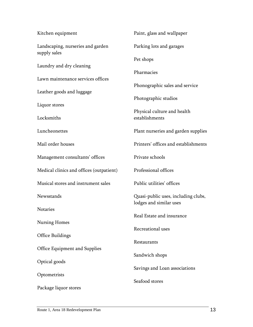| Kitchen equipment                                 | Paint, glass and wallpaper                                     |
|---------------------------------------------------|----------------------------------------------------------------|
| Landscaping, nurseries and garden<br>supply sales | Parking lots and garages                                       |
|                                                   | Pet shops                                                      |
| Laundry and dry cleaning                          | Pharmacies                                                     |
| Lawn maintenance services offices                 | Phonographic sales and service                                 |
| Leather goods and luggage                         |                                                                |
| Liquor stores                                     | Photographic studios                                           |
| Locksmiths                                        | Physical culture and health<br>establishments                  |
| Luncheonettes                                     | Plant nurseries and garden supplies                            |
| Mail order houses                                 | Printers' offices and establishments                           |
| Management consultants' offices                   | Private schools                                                |
| Medical clinics and offices (outpatient)          | Professional offices                                           |
| Musical stores and instrument sales               | Public utilities' offices                                      |
| Newsstands                                        | Quasi-public uses, including clubs,<br>lodges and similar uses |
| Notaries                                          | Real Estate and insurance                                      |
| Nursing Homes                                     |                                                                |
| <b>Office Buildings</b>                           | Recreational uses                                              |
| Office Equipment and Supplies                     | Restaurants                                                    |
|                                                   | Sandwich shops                                                 |
| Optical goods                                     | Savings and Loan associations                                  |
| Optometrists                                      | Seafood stores                                                 |
| Package liquor stores                             |                                                                |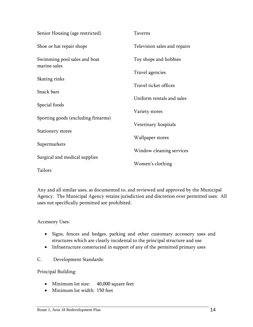| Senior Housing (age restricted)     | <b>Taverns</b>               |
|-------------------------------------|------------------------------|
| Shoe or hat repair shops            | Television sales and repairs |
| Swimming pool sales and boat        | Toy shops and hobbies        |
| marine sales                        | Travel agencies              |
| Skating rinks                       |                              |
| Snack bars                          | Travel ticket offices        |
|                                     | Uniform rentals and sales    |
| Special foods                       | Variety stores               |
| Sporting goods (excluding firearms) |                              |
| Stationery stores                   | Veterinary hospitals         |
|                                     | Wallpaper stores             |
| Supermarkets                        | Window cleaning services     |
| Surgical and medical supplies       |                              |
| Tailors                             | Women's clothing             |
|                                     |                              |

Any and all similar uses, as documented to, and reviewed and approved by the Municipal Agency. The Municipal Agency retains jurisdiction and discretion over permitted uses: All uses not specifically permitted are prohibited.

Accessory Uses:

- Signs, fences and hedges, parking and other customary accessory uses and structures which are clearly incidental to the principal structure and use
- Infrastructure constructed in support of any of the permitted primary uses
- C. Development Standards:

Principal Building:

- Minimum lot size: 40,000 square feet
- Minimum lot width: 150 feet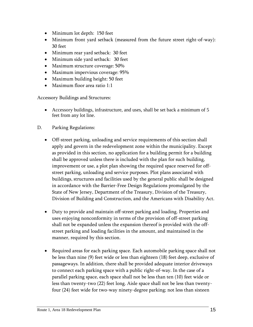- Minimum lot depth: 150 feet
- Minimum front yard setback (measured from the future street right-of-way): 30 feet
- Minimum rear yard setback: 30 feet
- Minimum side yard setback: 30 feet
- Maximum structure coverage: 50%
- Maximum impervious coverage: 95%
- Maximum building height: 50 feet
- Maximum floor area ratio 1:1

Accessory Buildings and Structures:

- Accessory buildings, infrastructure, and uses, shall be set back a minimum of 5 feet from any lot line.
- D. Parking Regulations:
	- Off-street parking, unloading and service requirements of this section shall apply and govern in the redevelopment zone within the municipality. Except as provided in this section, no application for a building permit for a building shall be approved unless there is included with the plan for such building, improvement or use, a plot plan showing the required space reserved for offstreet parking, unloading and service purposes. Plot plans associated with buildings, structures and facilities used by the general public shall be designed in accordance with the Barrier-Free Design Regulations promulgated by the State of New Jersey, Department of the Treasury, Division of the Treasury, Division of Building and Construction, and the Americans with Disability Act.
	- Duty to provide and maintain off-street parking and loading. Properties and uses enjoying nonconformity in terms of the provision of off-street parking shall not be expanded unless the expansion thereof is provided with the offstreet parking and loading facilities in the amount, and maintained in the manner, required by this section.
	- Required areas for each parking space. Each automobile parking space shall not be less than nine (9) feet wide or less than eighteen (18) feet deep, exclusive of passageways. In addition, there shall be provided adequate interior driveways to connect each parking space with a public right-of-way. In the case of a parallel parking space, each space shall not be less than ten (10) feet wide or less than twenty-two (22) feet long. Aisle space shall not be less than twentyfour (24) feet wide for two-way ninety-degree parking; not less than sixteen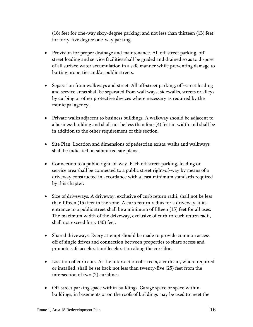(16) feet for one-way sixty-degree parking; and not less than thirteen (13) feet for forty-five degree one-way parking.

- Provision for proper drainage and maintenance. All off-street parking, offstreet loading and service facilities shall be graded and drained so as to dispose of all surface water accumulation in a safe manner while preventing damage to butting properties and/or public streets.
- Separation from walkways and street. All off-street parking, off-street loading and service areas shall be separated from walkways, sidewalks, streets or alleys by curbing or other protective devices where necessary as required by the municipal agency.
- Private walks adjacent to business buildings. A walkway should be adjacent to a business building and shall not be less than four (4) feet in width and shall be in addition to the other requirement of this section.
- Site Plan. Location and dimensions of pedestrian exists, walks and walkways shall be indicated on submitted site plans.
- Connection to a public right-of-way. Each off-street parking, loading or service area shall be connected to a public street right-of-way by means of a driveway constructed in accordance with a least minimum standards required by this chapter.
- Size of driveways. A driveway, exclusive of curb return radii, shall not be less than fifteen (15) feet in the zone. A curb return radius for a driveway at its entrance to a public street shall be a minimum of fifteen (15) feet for all uses. The maximum width of the driveway, exclusive of curb-to-curb return radii, shall not exceed forty (40) feet.
- Shared driveways. Every attempt should be made to provide common access off of single drives and connection between properties to share access and promote safe acceleration/deceleration along the corridor.
- Location of curb cuts. At the intersection of streets, a curb cut, where required or installed, shall be set back not less than twenty-five (25) feet from the intersection of two (2) curblines.
- Off-street parking space within buildings. Garage space or space within buildings, in basements or on the roofs of buildings may be used to meet the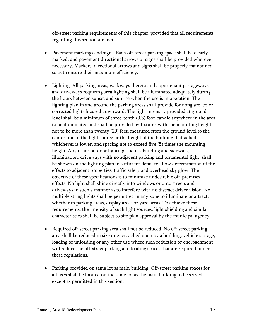off-street parking requirements of this chapter, provided that all requirements regarding this section are met.

- Pavement markings and signs. Each off-street parking space shall be clearly marked, and pavement directional arrows or signs shall be provided wherever necessary. Markers, directional arrows and signs shall be properly maintained so as to ensure their maximum efficiency.
- Lighting. All parking areas, walkways thereto and appurtenant passageways and driveways requiring area lighting shall be illuminated adequately during the hours between sunset and sunrise when the use is in operation. The lighting plan in and around the parking areas shall provide for nonglare, colorcorrected lights focused downward. The light intensity provided at ground level shall be a minimum of three-tenth (0.3) foot-candle anywhere in the area to be illuminated and shall be provided by fixtures with the mounting height not to be more than twenty (20) feet, measured from the ground level to the center line of the light source or the height of the building if attached, whichever is lower, and spacing not to exceed five (5) times the mounting height. Any other outdoor lighting, such as building and sidewalk, illumination, driveways with no adjacent parking and ornamental light, shall be shown on the lighting plan in sufficient detail to allow determination of the effects to adjacent properties, traffic safety and overhead sky glow. The objective of these specifications is to minimize undesirable off-premises effects. No light shall shine directly into windows or onto streets and driveways in such a manner as to interfere with no distract driver vision. No multiple string lights shall be permitted in any zone to illuminate or attract, whether in parking areas, display areas or yard areas. To achieve these requirements, the intensity of such light sources, light shielding and similar characteristics shall be subject to site plan approval by the municipal agency.
- Required off-street parking area shall not be reduced. No off-street parking area shall be reduced in size or encroached upon by a building, vehicle storage, loading or unloading or any other use where such reduction or encroachment will reduce the off-street parking and loading spaces that are required under these regulations.
- Parking provided on same lot as main building. Off-street parking spaces for all uses shall be located on the same lot as the main building to be served, except as permitted in this section.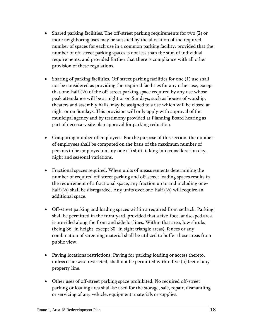- Shared parking facilities. The off-street parking requirements for two (2) or more neighboring uses may be satisfied by the allocation of the required number of spaces for each use in a common parking facility, provided that the number of off-street parking spaces is not less than the sum of individual requirements, and provided further that there is compliance with all other provision of these regulations.
- Sharing of parking facilities. Off-street parking facilities for one (1) use shall not be considered as providing the required facilities for any other use, except that one-half  $(½)$  of the off-street parking space required by any use whose peak attendance will be at night or on Sundays, such as houses of worship, theaters and assembly halls, may be assigned to a use which will be closed at night or on Sundays. This provision will only apply with approval of the municipal agency and by testimony provided at Planning Board hearing as part of necessary site plan approval for parking reduction.
- Computing number of employees. For the purpose of this section, the number of employees shall be computed on the basis of the maximum number of persons to be employed on any one (1) shift, taking into consideration day, night and seasonal variations.
- Fractional spaces required. When units of measurements determining the number of required off-street parking and off-street loading spaces results in the requirement of a fractional space, any fraction up to and including onehalf  $(½)$  shall be disregarded. Any units over one-half  $(½)$  will require an additional space.
- Off-street parking and loading spaces within a required front setback. Parking shall be permitted in the front yard, provided that a five-foot landscaped area is provided along the front and side lot lines. Within that area, low shrubs (being 36" in height, except 30" in sight triangle areas), fences or any combination of screening material shall be utilized to buffer those areas from public view.
- Paving locations restrictions. Paving for parking loading or access thereto, unless otherwise restricted, shall not be permitted within five (5) feet of any property line.
- Other uses of off-street parking space prohibited. No required off-street parking or loading area shall be used for the storage, sale, repair, dismantling or servicing of any vehicle, equipment, materials or supplies.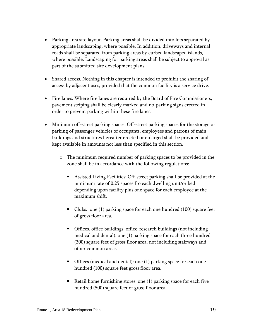- Parking area site layout. Parking areas shall be divided into lots separated by appropriate landscaping, where possible. In addition, driveways and internal roads shall be separated from parking areas by curbed landscaped islands, where possible. Landscaping for parking areas shall be subject to approval as part of the submitted site development plans.
- Shared access. Nothing in this chapter is intended to prohibit the sharing of access by adjacent uses, provided that the common facility is a service drive.
- Fire lanes. Where fire lanes are required by the Board of Fire Commissioners, pavement striping shall be clearly marked and no-parking signs erected in order to prevent parking within these fire lanes.
- Minimum off-street parking spaces. Off-street parking spaces for the storage or parking of passenger vehicles of occupants, employees and patrons of main buildings and structures hereafter erected or enlarged shall be provided and kept available in amounts not less than specified in this section.
	- o The minimum required number of parking spaces to be provided in the zone shall be in accordance with the following regulations:
		- Assisted Living Facilities: Off-street parking shall be provided at the minimum rate of 0.25 spaces fro each dwelling unit/or bed depending upon facility plus one space for each employee at the maximum shift.
		- Clubs: one (1) parking space for each one hundred (100) square feet of gross floor area.
		- Offices, office buildings, office-research buildings (not including medical and dental): one (1) parking space for each three hundred (300) square feet of gross floor area, not including stairways and other common areas.
		- Offices (medical and dental): one (1) parking space for each one hundred (100) square feet gross floor area.
		- Retail home furnishing stores: one (1) parking space for each five hundred (500) square feet of gross floor area.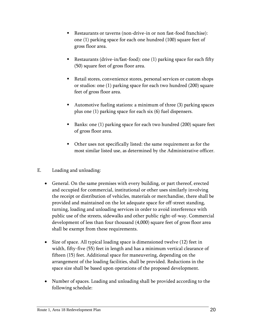- Restaurants or taverns (non-drive-in or non fast-food franchise): one (1) parking space for each one hundred (100) square feet of gross floor area.
- Restaurants (drive-in/fast-food): one (1) parking space for each fifty (50) square feet of gross floor area.
- Retail stores, convenience stores, personal services or custom shops or studios: one (1) parking space for each two hundred (200) square feet of gross floor area.
- Automotive fueling stations: a minimum of three (3) parking spaces plus one (1) parking space for each six (6) fuel dispensers.
- Banks: one (1) parking space for each two hundred (200) square feet of gross floor area.
- Other uses not specifically listed: the same requirement as for the most similar listed use, as determined by the Administrative officer.
- E. Loading and unloading:
	- General. On the same premises with every building, or part thereof, erected and occupied for commercial, institutional or other uses similarly involving the receipt or distribution of vehicles, materials or merchandise, there shall be provided and maintained on the lot adequate space for off-street standing, turning, loading and unloading services in order to avoid interference with public use of the streets, sidewalks and other public right-of-way. Commercial development of less than four thousand (4,000) square feet of gross floor area shall be exempt from these requirements.
	- Size of space. All typical loading space is dimensioned twelve (12) feet in width, fifty-five (55) feet in length and has a minimum vertical clearance of fifteen (15) feet. Additional space for maneuvering, depending on the arrangement of the loading facilities, shall be provided. Reductions in the space size shall be based upon operations of the proposed development.
	- Number of spaces. Loading and unloading shall be provided according to the following schedule: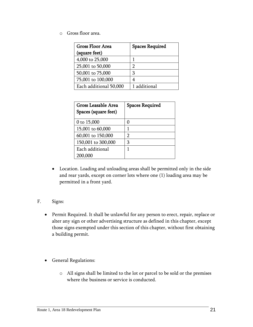o Gross floor area.

| <b>Gross Floor Area</b> | <b>Spaces Required</b> |
|-------------------------|------------------------|
| (square feet)           |                        |
| 4,000 to 25,000         |                        |
| 25,001 to 50,000        | 2                      |
| 50,001 to 75,000        | 3                      |
| 75,001 to 100,000       | 4                      |
| Each additional 50,000  | 1 additional           |

| 0 to 15,000<br>0<br>15,001 to 60,000<br>1<br>60,001 to 150,000<br>2<br>150,001 to 300,000<br>3<br>Each additional<br>1 | Gross Leasable Area<br>Spaces (square feet) | <b>Spaces Required</b> |
|------------------------------------------------------------------------------------------------------------------------|---------------------------------------------|------------------------|
|                                                                                                                        |                                             |                        |
|                                                                                                                        |                                             |                        |
|                                                                                                                        |                                             |                        |
|                                                                                                                        |                                             |                        |
|                                                                                                                        |                                             |                        |
| 200,000                                                                                                                |                                             |                        |

 Location. Loading and unloading areas shall be permitted only in the side and rear yards, except on corner lots where one (1) loading area may be permitted in a front yard.

#### F. Signs:

- Permit Required. It shall be unlawful for any person to erect, repair, replace or alter any sign or other advertising structure as defined in this chapter, except those signs exempted under this section of this chapter, without first obtaining a building permit.
- General Regulations:
	- o All signs shall be limited to the lot or parcel to be sold or the premises where the business or service is conducted.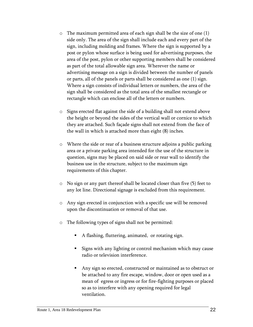- $\circ$  The maximum permitted area of each sign shall be the size of one (1) side only. The area of the sign shall include each and every part of the sign, including molding and frames. Where the sign is supported by a post or pylon whose surface is being used for advertising purposes, the area of the post, pylon or other supporting members shall be considered as part of the total allowable sign area. Wherever the name or advertising message on a sign is divided between the number of panels or parts, all of the panels or parts shall be considered as one (1) sign. Where a sign consists of individual letters or numbers, the area of the sign shall be considered as the total area of the smallest rectangle or rectangle which can enclose all of the letters or numbers.
- o Signs erected flat against the side of a building shall not extend above the height or beyond the sides of the vertical wall or cornice to which they are attached. Such façade signs shall not extend from the face of the wall in which is attached more than eight (8) inches.
- o Where the side or rear of a business structure adjoins a public parking area or a private parking area intended for the use of the structure in question, signs may be placed on said side or rear wall to identify the business use in the structure, subject to the maximum sign requirements of this chapter.
- o No sign or any part thereof shall be located closer than five (5) feet to any lot line. Directional signage is excluded from this requirement.
- o Any sign erected in conjunction with a specific use will be removed upon the discontinuation or removal of that use.
- o The following types of signs shall not be permitted:
	- A flashing, fluttering, animated, or rotating sign.
	- Signs with any lighting or control mechanism which may cause radio or television interference.
	- Any sign so erected, constructed or maintained as to obstruct or be attached to any fire escape, window, door or open used as a mean of egress or ingress or for fire-fighting purposes or placed so as to interfere with any opening required for legal ventilation.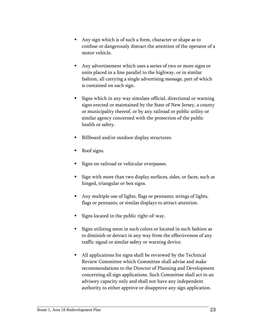- Any sign which is of such a form, character or shape as to confuse or dangerously distract the attention of the operator of a motor vehicle.
- Any advertisement which uses a series of two or more signs or units placed in a line parallel to the highway, or in similar fashion, all carrying a single advertising message, part of which is contained on each sign.
- Signs which in any way simulate official, directional or warning signs erected or maintained by the State of New Jersey, a county or municipality thereof, or by any railroad or public utility or similar agency concerned with the protection of the public health or safety.
- Billboard and/or outdoor display structures.
- Roof signs.
- Signs on railroad or vehicular overpasses.
- Sign with more than two display surfaces, sides, or faces, such as hinged, triangular or box signs.
- Any multiple use of lights, flags or pennants; strings of lights, flags or pennants; or similar displays to attract attention.
- Signs located in the public right-of-way.
- Signs utilizing neon in such colors or located in such fashion as to diminish or detract in any way from the effectiveness of any traffic signal or similar safety or warning device.
- All applications for signs shall be reviewed by the Technical Review Committee which Committee shall advise and make recommendations to the Director of Planning and Development concerning all sign applications. Such Committee shall act in an advisory capacity only and shall not have any independent authority to either approve or disapprove any sign application.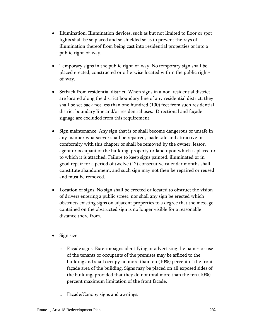- Illumination. Illumination devices, such as but not limited to floor or spot lights shall be so placed and so shielded so as to prevent the rays of illumination thereof from being cast into residential properties or into a public right-of-way.
- Temporary signs in the public right-of-way. No temporary sign shall be placed erected, constructed or otherwise located within the public rightof-way.
- Setback from residential district. When signs in a non-residential district are located along the district boundary line of any residential district, they shall be set back not less than one hundred (100) feet from such residential district boundary line and/or residential uses. Directional and façade signage are excluded from this requirement.
- Sign maintenance. Any sign that is or shall become dangerous or unsafe in any manner whatsoever shall be repaired, made safe and attractive in conformity with this chapter or shall be removed by the owner, lessor, agent or occupant of the building, property or land upon which is placed or to which it is attached. Failure to keep signs painted, illuminated or in good repair for a period of twelve (12) consecutive calendar months shall constitute abandonment, and such sign may not then be repaired or reused and must be removed.
- Location of signs. No sign shall be erected or located to obstruct the vision of drivers entering a public street; nor shall any sign be erected which obstructs existing signs on adjacent properties to a degree that the message contained on the obstructed sign is no longer visible for a reasonable distance there from.
- Sign size:
	- o Façade signs. Exterior signs identifying or advertising the names or use of the tenants or occupants of the premises may be affixed to the building and shall occupy no more than ten (10%) percent of the front façade area of the building. Signs may be placed on all exposed sides of the building, provided that they do not total more than the ten (10%) percent maximum limitation of the front facade.
	- o Façade/Canopy signs and awnings.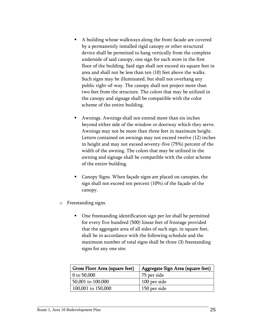- A building whose walkways along the front facade are covered by a permanently installed rigid canopy or other structural device shall be permitted to hang vertically from the complete underside of said canopy, one sign for each store in the first floor of the building. Said sign shall not exceed six square feet in area and shall not be less than ten (10) feet above the walks. Such signs may be illuminated, but shall not overhang any public right-of-way. The canopy shall not project more than two feet from the structure. The colors that may be utilized in the canopy and signage shall be compatible with the color scheme of the entire building.
- Awnings. Awnings shall not extend more than six inches beyond either side of the window or doorway which they serve. Awnings may not be more than three feet in maximum height. Letters contained on awnings may not exceed twelve (12) inches in height and may not exceed seventy-five (75%) percent of the width of the awning. The colors that may be utilized in the awning and signage shall be compatible with the color scheme of the entire building.
- Canopy Signs. When façade signs are placed on canopies, the sign shall not exceed ten percent (10%) of the façade of the canopy.
- o Freestanding signs.
	- One freestanding identification sign per lot shall be permitted for every five hundred (500) linear feet of frontage provided that the aggregate area of all sides of such sign, in square feet, shall be in accordance with the following schedule and the maximum number of total signs shall be three (3) freestanding signs for any one site:

| Gross Floor Area (square feet) | Aggregate Sign Area (square feet) |
|--------------------------------|-----------------------------------|
| 0 to $50,000$                  | 75 per side                       |
| 50,001 to 100,000              | 100 per side                      |
| 100,001 to 150,000             | 150 per side                      |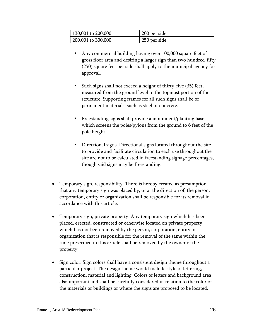| 130,001 to 200,000 | 200 per side |
|--------------------|--------------|
| 200,001 to 300,000 | 250 per side |

- Any commercial building having over 100,000 square feet of gross floor area and desiring a larger sign than two hundred-fifty (250) square feet per side shall apply to the municipal agency for approval.
- Such signs shall not exceed a height of thirty-five (35) feet, measured from the ground level to the topmost portion of the structure. Supporting frames for all such signs shall be of permanent materials, such as steel or concrete.
- Freestanding signs shall provide a monument/planting base which screens the poles/pylons from the ground to 6 feet of the pole height.
- Directional signs. Directional signs located throughout the site to provide and facilitate circulation to each use throughout the site are not to be calculated in freestanding signage percentages, though said signs may be freestanding.
- Temporary sign, responsibility. There is hereby created as presumption that any temporary sign was placed by, or at the direction of, the person, corporation, entity or organization shall be responsible for its removal in accordance with this article.
- Temporary sign, private property. Any temporary sign which has been placed, erected, constructed or otherwise located on private property which has not been removed by the person, corporation, entity or organization that is responsible for the removal of the same within the time prescribed in this article shall be removed by the owner of the property.
- Sign color. Sign colors shall have a consistent design theme throughout a particular project. The design theme would include style of lettering, construction, material and lighting. Colors of letters and background area also important and shall be carefully considered in relation to the color of the materials or buildings or where the signs are proposed to be located.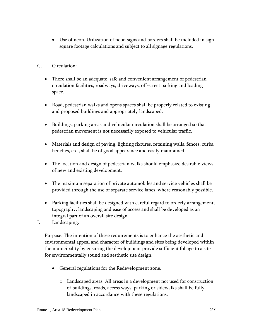- Use of neon. Utilization of neon signs and borders shall be included in sign square footage calculations and subject to all signage regulations.
- G. Circulation:
	- There shall be an adequate, safe and convenient arrangement of pedestrian circulation facilities, roadways, driveways, off-street parking and loading space.
	- Road, pedestrian walks and opens spaces shall be properly related to existing and proposed buildings and appropriately landscaped.
	- Buildings, parking areas and vehicular circulation shall be arranged so that pedestrian movement is not necessarily exposed to vehicular traffic.
	- Materials and design of paving, lighting fixtures, retaining walls, fences, curbs, benches, etc., shall be of good appearance and easily maintained.
	- The location and design of pedestrian walks should emphasize desirable views of new and existing development.
	- The maximum separation of private automobiles and service vehicles shall be provided through the use of separate service lanes, where reasonably possible.
	- Parking facilities shall be designed with careful regard to orderly arrangement, topography, landscaping and ease of access and shall be developed as an integral part of an overall site design.
- I. Landscaping:

Purpose. The intention of these requirements is to enhance the aesthetic and environmental appeal and character of buildings and sites being developed within the municipality by ensuring the development provide sufficient foliage to a site for environmentally sound and aesthetic site design.

- General regulations for the Redevelopment zone.
	- o Landscaped areas. All areas in a development not used for construction of buildings, roads, access ways, parking or sidewalks shall be fully landscaped in accordance with these regulations.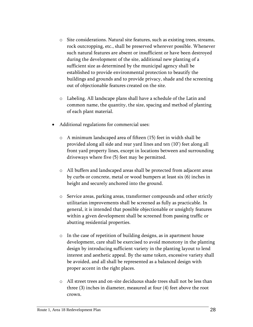- o Site considerations. Natural site features, such as existing trees, streams, rock outcropping, etc., shall be preserved wherever possible. Whenever such natural features are absent or insufficient or have been destroyed during the development of the site, additional new planting of a sufficient size as determined by the municipal agency shall be established to provide environmental protection to beautify the buildings and grounds and to provide privacy, shade and the screening out of objectionable features created on the site.
- o Labeling. All landscape plans shall have a schedule of the Latin and common name, the quantity, the size, spacing and method of planting of each plant material.
- Additional regulations for commercial uses:
	- o A minimum landscaped area of fifteen (15) feet in width shall be provided along all side and rear yard lines and ten (10') feet along all front yard property lines, except in locations between and surrounding driveways where five (5) feet may be permitted.
	- o All buffers and landscaped areas shall be protected from adjacent areas by curbs or concrete, metal or wood bumpers at least six (6) inches in height and securely anchored into the ground.
	- o Service areas, parking areas, transformer compounds and other strictly utilitarian improvements shall be screened as fully as practicable. In general, it is intended that possible objectionable or unsightly features within a given development shall be screened from passing traffic or abutting residential properties.
	- o In the case of repetition of building designs, as in apartment house development, care shall be exercised to avoid monotony in the planting design by introducing sufficient variety in the planting layout to lend interest and aesthetic appeal. By the same token, excessive variety shall be avoided, and all shall be represented as a balanced design with proper accent in the right places.
	- o All street trees and on-site deciduous shade trees shall not be less than three (3) inches in diameter, measured at four (4) feet above the root crown.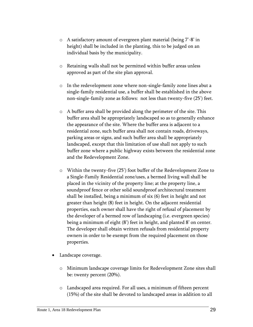- o A satisfactory amount of evergreen plant material (being 7'-8' in height) shall be included in the planting, this to be judged on an individual basis by the municipality.
- o Retaining walls shall not be permitted within buffer areas unless approved as part of the site plan approval.
- o In the redevelopment zone where non-single-family zone lines abut a single-family residential use, a buffer shall be established in the above non-single-family zone as follows: not less than twenty-five (25') feet.
- o A buffer area shall be provided along the perimeter of the site. This buffer area shall be appropriately landscaped so as to generally enhance the appearance of the site. Where the buffer area is adjacent to a residential zone, such buffer area shall not contain roads, driveways, parking areas or signs, and such buffer area shall be appropriately landscaped, except that this limitation of use shall not apply to such buffer zone where a public highway exists between the residential zone and the Redevelopment Zone.
- o Within the twenty-five (25') foot buffer of the Redevelopment Zone to a Single-Family Residential zone/uses, a bermed living wall shall be placed in the vicinity of the property line; at the property line, a soundproof fence or other solid soundproof architectural treatment shall be installed, being a minimum of six (6) feet in height and not greater than height (8) feet in height. On the adjacent residential properties, each owner shall have the right of refusal of placement by the developer of a bermed row of landscaping (i.e. evergreen species) being a minimum of eight (8') feet in height, and planted 8' on center. The developer shall obtain written refusals from residential property owners in order to be exempt from the required placement on those properties.
- Landscape coverage.
	- o Minimum landscape coverage limits for Redevelopment Zone sites shall be: twenty percent (20%).
	- o Landscaped area required. For all uses, a minimum of fifteen percent (15%) of the site shall be devoted to landscaped areas in addition to all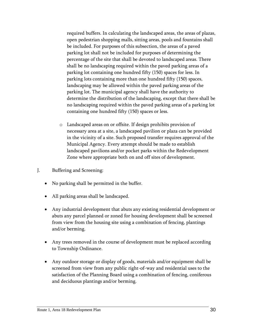required buffers. In calculating the landscaped areas, the areas of plazas, open pedestrian shopping malls, sitting areas, pools and fountains shall be included. For purposes of this subsection, the areas of a paved parking lot shall not be included for purposes of determining the percentage of the site that shall be devoted to landscaped areas. There shall be no landscaping required within the paved parking areas of a parking lot containing one hundred fifty (150) spaces for less. In parking lots containing more than one hundred fifty (150) spaces, landscaping may be allowed within the paved parking areas of the parking lot. The municipal agency shall have the authority to determine the distribution of the landscaping, except that there shall be no landscaping required within the paved parking areas of a parking lot containing one hundred fifty (150) spaces or less.

- o Landscaped areas on or offsite. If design prohibits provision of necessary area at a site, a landscaped pavilion or plaza can be provided in the vicinity of a site. Such proposed transfer requires approval of the Municipal Agency. Every attempt should be made to establish landscaped pavilions and/or pocket parks within the Redevelopment Zone where appropriate both on and off sites of development.
- J. Buffering and Screening:
	- No parking shall be permitted in the buffer.
	- All parking areas shall be landscaped.
	- Any industrial development that abuts any existing residential development or abuts any parcel planned or zoned for housing development shall be screened from view from the housing site using a combination of fencing, plantings and/or berming.
	- Any trees removed in the course of development must be replaced according to Township Ordinance.
	- Any outdoor storage or display of goods, materials and/or equipment shall be screened from view from any public right-of-way and residential uses to the satisfaction of the Planning Board using a combination of fencing, coniferous and deciduous plantings and/or berming.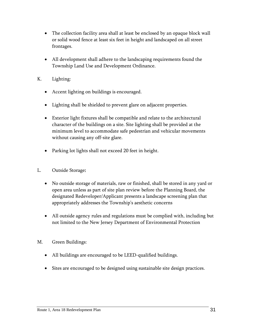- The collection facility area shall at least be enclosed by an opaque block wall or solid wood fence at least six feet in height and landscaped on all street frontages.
- All development shall adhere to the landscaping requirements found the Township Land Use and Development Ordinance.
- K. Lighting:
	- Accent lighting on buildings is encouraged.
	- Lighting shall be shielded to prevent glare on adjacent properties.
	- Exterior light fixtures shall be compatible and relate to the architectural character of the buildings on a site. Site lighting shall be provided at the minimum level to accommodate safe pedestrian and vehicular movements without causing any off-site glare.
	- Parking lot lights shall not exceed 20 feet in height.
- L. Outside Storage:
	- No outside storage of materials, raw or finished, shall be stored in any yard or open area unless as part of site plan review before the Planning Board, the designated Redeveloper/Applicant presents a landscape screening plan that appropriately addresses the Township's aesthetic concerns
	- All outside agency rules and regulations must be complied with, including but not limited to the New Jersey Department of Environmental Protection
- M. Green Buildings:
	- All buildings are encouraged to be LEED-qualified buildings.
	- Sites are encouraged to be designed using sustainable site design practices.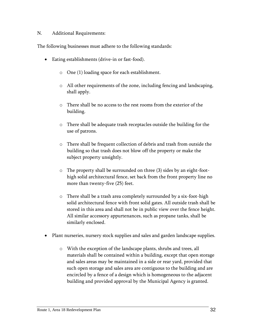#### N. Additional Requirements:

The following businesses must adhere to the following standards:

- Eating establishments (drive-in or fast-food).
	- o One (1) loading space for each establishment.
	- o All other requirements of the zone, including fencing and landscaping, shall apply.
	- o There shall be no access to the rest rooms from the exterior of the building.
	- o There shall be adequate trash receptacles outside the building for the use of patrons.
	- o There shall be frequent collection of debris and trash from outside the building so that trash does not blow off the property or make the subject property unsightly.
	- o The property shall be surrounded on three (3) sides by an eight-foothigh solid architectural fence, set back from the front property line no more than twenty-five (25) feet.
	- o There shall be a trash area completely surrounded by a six-foot-high solid architectural fence with front solid gates. All outside trash shall be stored in this area and shall not be in public view over the fence height. All similar accessory appurtenances, such as propane tanks, shall be similarly enclosed.
- Plant nurseries, nursery stock supplies and sales and garden landscape supplies.
	- o With the exception of the landscape plants, shrubs and trees, all materials shall be contained within a building, except that open storage and sales areas may be maintained in a side or rear yard, provided that such open storage and sales area are contiguous to the building and are encircled by a fence of a design which is homogeneous to the adjacent building and provided approval by the Municipal Agency is granted.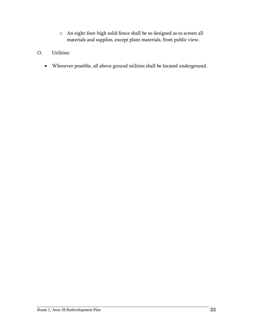- o An eight-foot-high solid fence shall be so designed as to screen all materials and supplies, except plant materials, from public view.
- O. Utilities:
	- Wherever possible, all above ground utilities shall be located underground.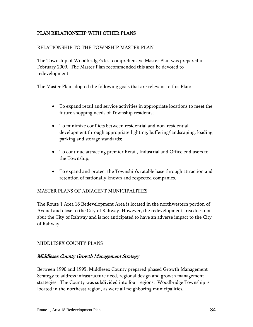# <span id="page-35-0"></span>PLAN RELATIONSHIP WITH OTHER PLANS

#### RELATIONSHIP TO THE TOWNSHIP MASTER PLAN

The Township of Woodbridge's last comprehensive Master Plan was prepared in February 2009. The Master Plan recommended this area be devoted to redevelopment.

The Master Plan adopted the following goals that are relevant to this Plan:

- To expand retail and service activities in appropriate locations to meet the future shopping needs of Township residents;
- To minimize conflicts between residential and non-residential development through appropriate lighting, buffering/landscaping, loading, parking and storage standards;
- To continue attracting premier Retail, Industrial and Office end users to the Township;
- To expand and protect the Township's ratable base through attraction and retention of nationally known and respected companies.

#### MASTER PLANS OF ADJACENT MUNICIPALITIES

The Route 1 Area 18 Redevelopment Area is located in the northwestern portion of Avenel and close to the City of Rahway. However, the redevelopment area does not abut the City of Rahway and is not anticipated to have an adverse impact to the City of Rahway.

#### MIDDLESEX COUNTY PLANS

# Middlesex County Growth Management Strategy

Between 1990 and 1995, Middlesex County prepared phased Growth Management Strategy to address infrastructure need, regional design and growth management strategies. The County was subdivided into four regions. Woodbridge Township is located in the northeast region, as were all neighboring municipalities.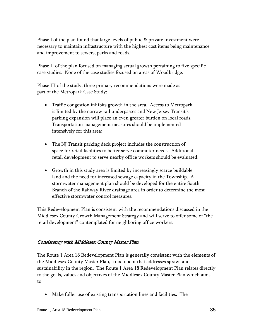Phase I of the plan found that large levels of public & private investment were necessary to maintain infrastructure with the highest cost items being maintenance and improvement to sewers, parks and roads.

Phase II of the plan focused on managing actual growth pertaining to five specific case studies. None of the case studies focused on areas of Woodbridge.

Phase III of the study, three primary recommendations were made as part of the Metropark Case Study:

- Traffic congestion inhibits growth in the area. Access to Metropark is limited by the narrow rail underpasses and New Jersey Transit's parking expansion will place an even greater burden on local roads. Transportation management measures should be implemented intensively for this area;
- The NJ Transit parking deck project includes the construction of space for retail facilities to better serve commuter needs. Additional retail development to serve nearby office workers should be evaluated;
- Growth in this study area is limited by increasingly scarce buildable land and the need for increased sewage capacity in the Township. A stormwater management plan should be developed for the entire South Branch of the Rahway River drainage area in order to determine the most effective stormwater control measures.

This Redevelopment Plan is consistent with the recommendations discussed in the Middlesex County Growth Management Strategy and will serve to offer some of "the retail development" contemplated for neighboring office workers.

# Consistency with Middlesex County Master Plan

The Route 1 Area 18 Redevelopment Plan is generally consistent with the elements of the Middlesex County Master Plan, a document that addresses sprawl and sustainability in the region. The Route 1 Area 18 Redevelopment Plan relates directly to the goals, values and objectives of the Middlesex County Master Plan which aims to:

Make fuller use of existing transportation lines and facilities. The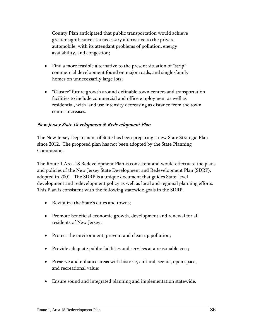County Plan anticipated that public transportation would achieve greater significance as a necessary alternative to the private automobile, with its attendant problems of pollution, energy availability, and congestion;

- Find a more feasible alternative to the present situation of "strip" commercial development found on major roads, and single-family homes on unnecessarily large lots;
- "Cluster" future growth around definable town centers and transportation facilities to include commercial and office employment as well as residential, with land use intensity decreasing as distance from the town center increases.

# New Jersey State Development & Redevelopment Plan

The New Jersey Department of State has been preparing a new State Strategic Plan since 2012. The proposed plan has not been adopted by the State Planning Commission.

The Route 1 Area 18 Redevelopment Plan is consistent and would effectuate the plans and policies of the New Jersey State Development and Redevelopment Plan (SDRP), adopted in 2001. The SDRP is a unique document that guides State-level development and redevelopment policy as well as local and regional planning efforts. This Plan is consistent with the following statewide goals in the SDRP.

- Revitalize the State's cities and towns;
- Promote beneficial economic growth, development and renewal for all residents of New Jersey;
- Protect the environment, prevent and clean up pollution;
- Provide adequate public facilities and services at a reasonable cost;
- Preserve and enhance areas with historic, cultural, scenic, open space, and recreational value;
- Ensure sound and integrated planning and implementation statewide.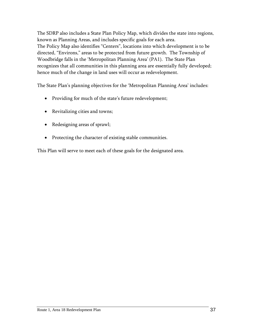The SDRP also includes a State Plan Policy Map, which divides the state into regions, known as Planning Areas, and includes specific goals for each area. The Policy Map also identifies "Centers", locations into which development is to be directed, "Environs," areas to be protected from future growth. The Township of Woodbridge falls in the 'Metropolitan Planning Area' (PA1). The State Plan recognizes that all communities in this planning area are essentially fully developed; hence much of the change in land uses will occur as redevelopment.

The State Plan's planning objectives for the 'Metropolitan Planning Area' includes:

- Providing for much of the state's future redevelopment;
- Revitalizing cities and towns;
- Redesigning areas of sprawl;
- Protecting the character of existing stable communities.

This Plan will serve to meet each of these goals for the designated area.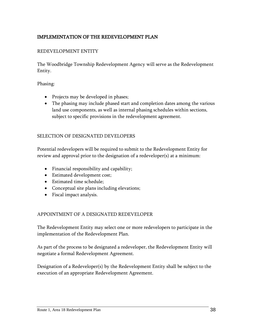# <span id="page-39-0"></span>IMPLEMENTATION OF THE REDEVELOPMENT PLAN

#### REDEVELOPMENT ENTITY

The Woodbridge Township Redevelopment Agency will serve as the Redevelopment Entity.

Phasing:

- Projects may be developed in phases;
- The phasing may include phased start and completion dates among the various land use components, as well as internal phasing schedules within sections, subject to specific provisions in the redevelopment agreement.

#### SELECTION OF DESIGNATED DEVELOPERS

Potential redevelopers will be required to submit to the Redevelopment Entity for review and approval prior to the designation of a redeveloper(s) at a minimum:

- Financial responsibility and capability;
- Estimated development cost;
- Estimated time schedule;
- Conceptual site plans including elevations;
- Fiscal impact analysis.

#### APPOINTMENT OF A DESIGNATED REDEVELOPER

The Redevelopment Entity may select one or more redevelopers to participate in the implementation of the Redevelopment Plan.

As part of the process to be designated a redeveloper, the Redevelopment Entity will negotiate a formal Redevelopment Agreement.

Designation of a Redeveloper(s) by the Redevelopment Entity shall be subject to the execution of an appropriate Redevelopment Agreement.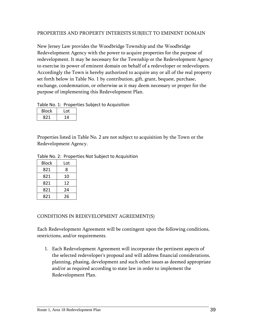#### PROPERTIES AND PROPERTY INTERESTS SUBJECT TO EMINENT DOMAIN

New Jersey Law provides the Woodbridge Township and the Woodbridge Redevelopment Agency with the power to acquire properties for the purpose of redevelopment. It may be necessary for the Township or the Redevelopment Agency to exercise its power of eminent domain on behalf of a redeveloper or redevelopers. Accordingly the Town is hereby authorized to acquire any or all of the real property set forth below in Table No. 1 by contribution, gift, grant, bequest, purchase, exchange, condemnation, or otherwise as it may deem necessary or proper for the purpose of implementing this Redevelopment Plan.

#### Table No. 1: Properties Subject to Acquisition

| <b>Block</b> | Lot |
|--------------|-----|
| 821          | 14  |

Properties listed in Table No. 2 are not subject to acquisition by the Town or the Redevelopment Agency.

|  | Table No. 2: Properties Not Subject to Acquisition |  |
|--|----------------------------------------------------|--|
|  |                                                    |  |

| Block | Lot |  |
|-------|-----|--|
| 821   | 8   |  |
| 821   | 10  |  |
| 821   | 12  |  |
| 821   | 24  |  |
| 821   | 26  |  |

#### CONDITIONS IN REDEVELOPMENT AGREEMENT(S)

Each Redevelopment Agreement will be contingent upon the following conditions, restrictions, and/or requirements.

1. Each Redevelopment Agreement will incorporate the pertinent aspects of the selected redeveloper's proposal and will address financial considerations, planning, phasing, development and such other issues as deemed appropriate and/or as required according to state law in order to implement the Redevelopment Plan.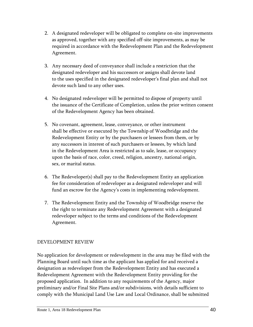- 2. A designated redeveloper will be obligated to complete on-site improvements as approved, together with any specified off-site improvements, as may be required in accordance with the Redevelopment Plan and the Redevelopment Agreement.
- 3. Any necessary deed of conveyance shall include a restriction that the designated redeveloper and his successors or assigns shall devote land to the uses specified in the designated redeveloper's final plan and shall not devote such land to any other uses.
- 4. No designated redeveloper will be permitted to dispose of property until the issuance of the Certificate of Completion, unless the prior written consent of the Redevelopment Agency has been obtained.
- 5. No covenant, agreement, lease, conveyance, or other instrument shall be effective or executed by the Township of Woodbridge and the Redevelopment Entity or by the purchasers or lessees from them, or by any successors in interest of such purchasers or lessees, by which land in the Redevelopment Area is restricted as to sale, lease, or occupancy upon the basis of race, color, creed, religion, ancestry, national origin, sex, or marital status.
- 6. The Redeveloper(s) shall pay to the Redevelopment Entity an application fee for consideration of redeveloper as a designated redeveloper and will fund an escrow for the Agency's costs in implementing redevelopment.
- 7. The Redevelopment Entity and the Township of Woodbridge reserve the the right to terminate any Redevelopment Agreement with a designated redeveloper subject to the terms and conditions of the Redevelopment Agreement.

# DEVELOPMENT REVIEW

No application for development or redevelopment in the area may be filed with the Planning Board until such time as the applicant has applied for and received a designation as redeveloper from the Redevelopment Entity and has executed a Redevelopment Agreement with the Redevelopment Entity providing for the proposed application. In addition to any requirements of the Agency, major preliminary and/or Final Site Plans and/or subdivisions, with details sufficient to comply with the Municipal Land Use Law and Local Ordinance, shall be submitted